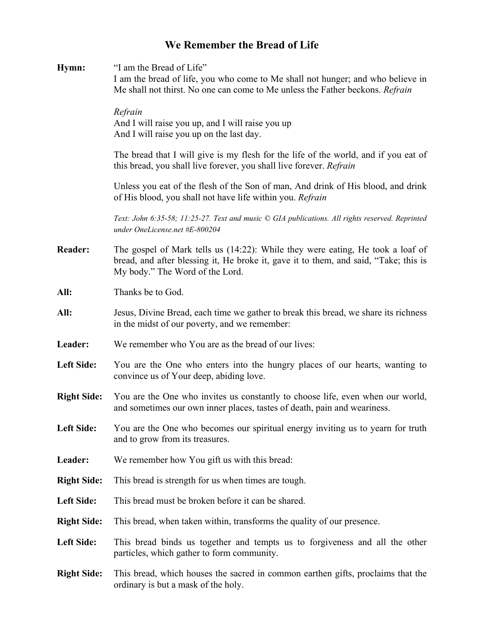## **We Remember the Bread of Life**

| Hymn:              | "I am the Bread of Life"<br>I am the bread of life, you who come to Me shall not hunger; and who believe in<br>Me shall not thirst. No one can come to Me unless the Father beckons. Refrain              |
|--------------------|-----------------------------------------------------------------------------------------------------------------------------------------------------------------------------------------------------------|
|                    | Refrain<br>And I will raise you up, and I will raise you up<br>And I will raise you up on the last day.                                                                                                   |
|                    | The bread that I will give is my flesh for the life of the world, and if you eat of<br>this bread, you shall live forever, you shall live forever. Refrain                                                |
|                    | Unless you eat of the flesh of the Son of man, And drink of His blood, and drink<br>of His blood, you shall not have life within you. Refrain                                                             |
|                    | Text: John 6:35-58; 11:25-27. Text and music © GIA publications. All rights reserved. Reprinted<br>under OneLicense.net #E-800204                                                                         |
| <b>Reader:</b>     | The gospel of Mark tells us (14:22): While they were eating, He took a loaf of<br>bread, and after blessing it, He broke it, gave it to them, and said, "Take; this is<br>My body." The Word of the Lord. |
| All:               | Thanks be to God.                                                                                                                                                                                         |
| All:               | Jesus, Divine Bread, each time we gather to break this bread, we share its richness<br>in the midst of our poverty, and we remember:                                                                      |
| Leader:            | We remember who You are as the bread of our lives:                                                                                                                                                        |
| <b>Left Side:</b>  | You are the One who enters into the hungry places of our hearts, wanting to<br>convince us of Your deep, abiding love.                                                                                    |
| <b>Right Side:</b> | You are the One who invites us constantly to choose life, even when our world,<br>and sometimes our own inner places, tastes of death, pain and weariness.                                                |
| <b>Left Side:</b>  | You are the One who becomes our spiritual energy inviting us to yearn for truth<br>and to grow from its treasures.                                                                                        |
| Leader:            | We remember how You gift us with this bread:                                                                                                                                                              |
| <b>Right Side:</b> | This bread is strength for us when times are tough.                                                                                                                                                       |
| <b>Left Side:</b>  | This bread must be broken before it can be shared.                                                                                                                                                        |
| <b>Right Side:</b> | This bread, when taken within, transforms the quality of our presence.                                                                                                                                    |
| <b>Left Side:</b>  | This bread binds us together and tempts us to forgiveness and all the other<br>particles, which gather to form community.                                                                                 |
| <b>Right Side:</b> | This bread, which houses the sacred in common earthen gifts, proclaims that the<br>ordinary is but a mask of the holy.                                                                                    |